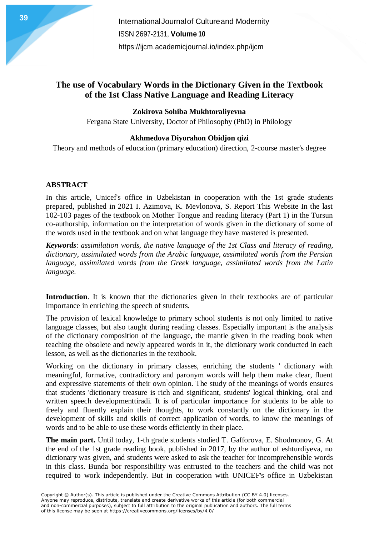## **The use of Vocabulary Words in the Dictionary Given in the Textbook of the 1st Class Native Language and Reading Literacy**

### **Zokirova Sohiba Mukhtoraliyevna**

Fergana State University, Doctor of Philosophy (PhD) in Philology

### **Akhmedova Diyorahon Obidjon qizi**

Theory and methods of education (primary education) direction, 2-course master's degree

#### **ABSTRACT**

In this article, Unicef's office in Uzbekistan in cooperation with the 1st grade students prepared, published in 2021 I. Azimova, K. Mevlonova, S. Report This Website In the last 102-103 pages of the textbook on Mother Tongue and reading literacy (Part 1) in the Tursun co-authorship, information on the interpretation of words given in the dictionary of some of the words used in the textbook and on what language they have mastered is presented.

*Keywords*: *assimilation words, the native language of the 1st Class and literacy of reading, dictionary, assimilated words from the Arabic language, assimilated words from the Persian language, assimilated words from the Greek language, assimilated words from the Latin language.*

**Introduction**. It is known that the dictionaries given in their textbooks are of particular importance in enriching the speech of students.

The provision of lexical knowledge to primary school students is not only limited to native language classes, but also taught during reading classes. Especially important is the analysis of the dictionary composition of the language, the mantle given in the reading book when teaching the obsolete and newly appeared words in it, the dictionary work conducted in each lesson, as well as the dictionaries in the textbook.

Working on the dictionary in primary classes, enriching the students ' dictionary with meaningful, formative, contradictory and paronym words will help them make clear, fluent and expressive statements of their own opinion. The study of the meanings of words ensures that students 'dictionary treasure is rich and significant, students' logical thinking, oral and written speech developmenttiradi. It is of particular importance for students to be able to freely and fluently explain their thoughts, to work constantly on the dictionary in the development of skills and skills of correct application of words, to know the meanings of words and to be able to use these words efficiently in their place.

**The main part.** Until today, 1-th grade students studied T. Gafforova, E. Shodmonov, G. At the end of the 1st grade reading book, published in 2017, by the author of eshturdiyeva, no dictionary was given, and students were asked to ask the teacher for incomprehensible words in this class. Bunda bor responsibility was entrusted to the teachers and the child was not required to work independently. But in cooperation with UNICEF's office in Uzbekistan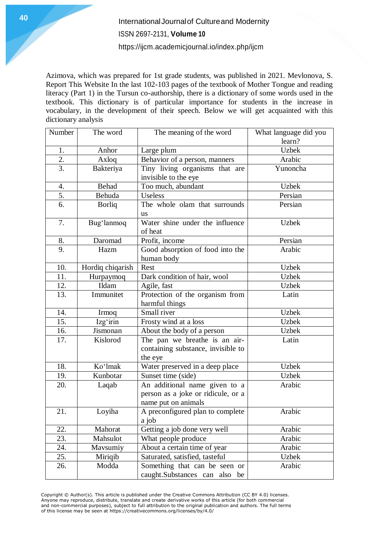Azimova, which was prepared for 1st grade students, was published in 2021. Mevlonova, S. Report This Website In the last 102-103 pages of the textbook of Mother Tongue and reading literacy (Part 1) in the Tursun co-authorship, there is a dictionary of some words used in the textbook. This dictionary is of particular importance for students in the increase in vocabulary, in the development of their speech. Below we will get acquainted with this dictionary analysis

| Number | The word         | The meaning of the word            | What language did you |
|--------|------------------|------------------------------------|-----------------------|
|        |                  |                                    | learn?                |
| 1.     | Anhor            | Large plum                         | <b>Uzbek</b>          |
| 2.     | Axloq            | Behavior of a person, manners      | Arabic                |
| 3.     | Bakteriya        | Tiny living organisms that are     | Yunoncha              |
|        |                  | invisible to the eye               |                       |
| 4.     | Behad            | Too much, abundant                 | <b>Uzbek</b>          |
| 5.     | Behuda           | Useless                            | Persian               |
| 6.     | <b>Borliq</b>    | The whole olam that surrounds      | Persian               |
|        |                  | <b>us</b>                          |                       |
| 7.     | Bug'lanmoq       | Water shine under the influence    | <b>Uzbek</b>          |
|        |                  | of heat                            |                       |
| 8.     | Daromad          | Profit, income                     | Persian               |
| 9.     | Hazm             | Good absorption of food into the   | Arabic                |
|        |                  | human body                         |                       |
| 10.    | Hordiq chiqarish | Rest                               | <b>Uzbek</b>          |
| 11.    | Hurpaymoq        | Dark condition of hair, wool       | <b>Uzbek</b>          |
| 12.    | Ildam            | Agile, fast                        | <b>Uzbek</b>          |
| 13.    | Immunitet        | Protection of the organism from    | Latin                 |
|        |                  | harmful things                     |                       |
| 14.    | Irmoq            | Small river                        | <b>Uzbek</b>          |
| 15.    | Izg'irin         | Frosty wind at a loss              | <b>Uzbek</b>          |
| 16.    | Jismonan         | About the body of a person         | <b>Uzbek</b>          |
| 17.    | Kislorod         | The pan we breathe is an air-      | Latin                 |
|        |                  | containing substance, invisible to |                       |
|        |                  | the eye                            |                       |
| 18.    | Ko'lmak          | Water preserved in a deep place    | <b>Uzbek</b>          |
| 19.    | Kunbotar         | Sunset time (side)                 | <b>Uzbek</b>          |
| 20.    | Laqab            | An additional name given to a      | Arabic                |
|        |                  | person as a joke or ridicule, or a |                       |
|        |                  | name put on animals                |                       |
| 21.    | Loyiha           | A preconfigured plan to complete   | Arabic                |
|        |                  | a job                              |                       |
| 22.    | Mahorat          | Getting a job done very well       | Arabic                |
| 23.    | Mahsulot         | What people produce                | Arabic                |
| 24.    | Mavsumiy         | About a certain time of year       | Arabic                |
| 25.    | Miriqib          | Saturated, satisfied, tasteful     | Uzbek                 |
| 26.    | Modda            | Something that can be seen or      | Arabic                |
|        |                  | caught.Substances can also be      |                       |

Copyright © Author(s). This article is published under the Creative Commons Attribution (CC BY 4.0) licenses. Anyone may reproduce, distribute, translate and create derivative works of this article (for both commercial and non-commercial purposes), subject to full attribution to the original publication and authors. The full terms of this license may be seen at https://creativecommons.org/licenses/by/4.0/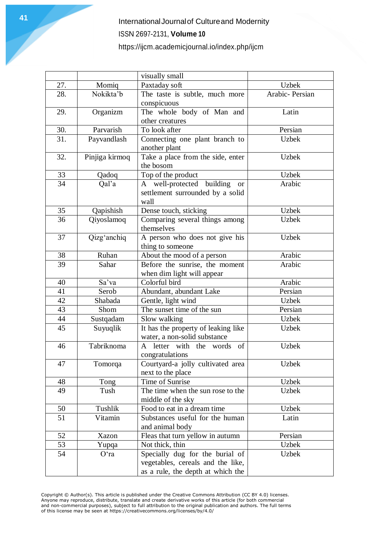|     |                | visually small                            |                |
|-----|----------------|-------------------------------------------|----------------|
| 27. | Momiq          | Paxtaday soft                             | <b>Uzbek</b>   |
| 28. | Nokikta'b      | The taste is subtle, much more            | Arabic-Persian |
|     |                | conspicuous                               |                |
| 29. | Organizm       | The whole body of Man and                 | Latin          |
|     |                | other creatures                           |                |
| 30. | Parvarish      | To look after                             | Persian        |
| 31. | Payvandlash    | Connecting one plant branch to            | <b>Uzbek</b>   |
|     |                | another plant                             |                |
| 32. | Pinjiga kirmoq | Take a place from the side, enter         | <b>Uzbek</b>   |
|     |                | the bosom                                 |                |
| 33  | Qadoq          | Top of the product                        | <b>Uzbek</b>   |
| 34  | Qal'a          | A well-protected<br>building<br><b>or</b> | Arabic         |
|     |                | settlement surrounded by a solid          |                |
|     |                | wall                                      |                |
| 35  | Qapishish      | Dense touch, sticking                     | <b>Uzbek</b>   |
| 36  | Qiyoslamoq     | Comparing several things among            | <b>Uzbek</b>   |
|     |                | themselves                                |                |
| 37  | Qizg'anchiq    | A person who does not give his            | <b>Uzbek</b>   |
|     |                | thing to someone                          |                |
| 38  | Ruhan          | About the mood of a person                | Arabic         |
| 39  | Sahar          | Before the sunrise, the moment            | Arabic         |
|     |                | when dim light will appear                |                |
| 40  | Sa'va          | Colorful bird                             | Arabic         |
| 41  | Serob          | Abundant, abundant Lake                   | Persian        |
| 42  | Shabada        | Gentle, light wind                        | <b>Uzbek</b>   |
| 43  | Shom           | The sunset time of the sun                | Persian        |
| 44  | Sustqadam      | Slow walking                              | <b>Uzbek</b>   |
| 45  | Suyuqlik       | It has the property of leaking like       | <b>Uzbek</b>   |
|     |                | water, a non-solid substance              |                |
| 46  | Tabriknoma     | letter with the words<br>A<br>of          | <b>Uzbek</b>   |
|     |                | congratulations                           |                |
| 47  | Tomorqa        | Courtyard-a jolly cultivated area         | <b>Uzbek</b>   |
|     |                | next to the place                         |                |
| 48  | Tong           | Time of Sunrise                           | <b>Uzbek</b>   |
| 49  | Tush           | The time when the sun rose to the         | <b>Uzbek</b>   |
|     |                | middle of the sky                         |                |
| 50  | Tushlik        | Food to eat in a dream time               | <b>Uzbek</b>   |
| 51  | Vitamin        | Substances useful for the human           | Latin          |
|     |                | and animal body                           |                |
| 52  | Xazon          | Fleas that turn yellow in autumn          | Persian        |
| 53  | Yupqa          | Not thick, thin                           | <b>Uzbek</b>   |
| 54  | O'ra           | Specially dug for the burial of           | <b>Uzbek</b>   |
|     |                | vegetables, cereals and the like,         |                |
|     |                | as a rule, the depth at which the         |                |

Copyright © Author(s). This article is published under the Creative Commons Attribution (CC BY 4.0) licenses. Anyone may reproduce, distribute, translate and create derivative works of this article (for both commercial and non-commercial purposes), subject to full attribution to the original publication and authors. The full terms of this license may be seen at https://creativecommons.org/licenses/by/4.0/